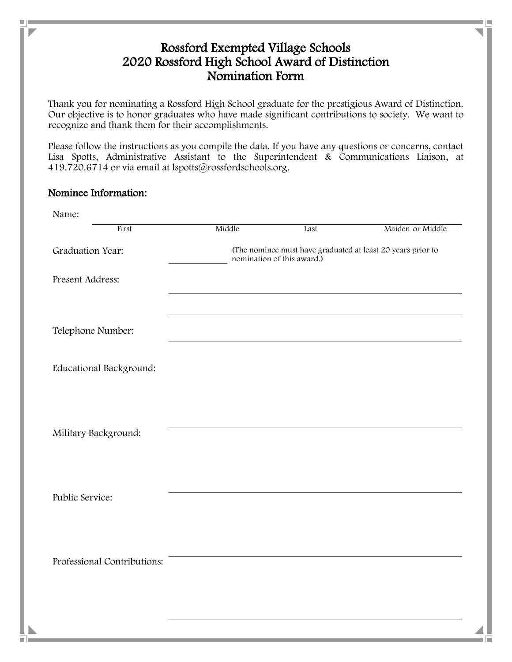## Rossford Exempted Village Schools 2020 Rossford High School Award of Distinction Nomination Form

Thank you for nominating a Rossford High School graduate for the prestigious Award of Distinction. Our objective is to honor graduates who have made significant contributions to society. We want to recognize and thank them for their accomplishments.

Please follow the instructions as you compile the data. If you have any questions or concerns, contact Lisa Spotts, Administrative Assistant to the Superintendent & Communications Liaison, at 419.720.6714 or via email at lspotts@rossfordschools.org.

## Nominee Information:

۰

m.

| Name:                       |                                                                                           |      |                  |
|-----------------------------|-------------------------------------------------------------------------------------------|------|------------------|
| First                       | Middle                                                                                    | Last | Maiden or Middle |
| Graduation Year:            | (The nominee must have graduated at least 20 years prior to<br>nomination of this award.) |      |                  |
| Present Address:            |                                                                                           |      |                  |
|                             |                                                                                           |      |                  |
| Telephone Number:           |                                                                                           |      |                  |
| Educational Background:     |                                                                                           |      |                  |
|                             |                                                                                           |      |                  |
|                             |                                                                                           |      |                  |
| Military Background:        |                                                                                           |      |                  |
|                             |                                                                                           |      |                  |
|                             |                                                                                           |      |                  |
| Public Service:             |                                                                                           |      |                  |
|                             |                                                                                           |      |                  |
| Professional Contributions: |                                                                                           |      |                  |
|                             |                                                                                           |      |                  |
|                             |                                                                                           |      |                  |
|                             |                                                                                           |      |                  |